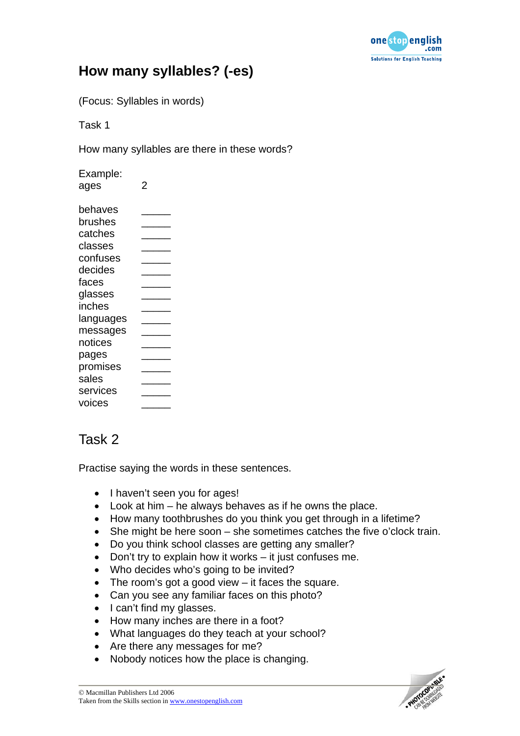

## **How many syllables? (-es)**

(Focus: Syllables in words)

Task 1

How many syllables are there in these words?

| Example:<br>ages | 2 |
|------------------|---|
| behaves          |   |
| brushes          |   |
| catches          |   |
| classes          |   |
| confuses         |   |
| decides          |   |
| faces            |   |
| glasses          |   |
| inches           |   |
| languages        |   |
| messages         |   |
| notices          |   |
| pages            |   |
| promises         |   |
| sales            |   |
| services         |   |
| voices           |   |

## Task 2

Practise saying the words in these sentences.

- I haven't seen you for ages!
- Look at him he always behaves as if he owns the place.
- How many toothbrushes do you think you get through in a lifetime?
- She might be here soon she sometimes catches the five o'clock train.
- Do you think school classes are getting any smaller?
- Don't try to explain how it works it just confuses me.
- Who decides who's going to be invited?
- The room's got a good view it faces the square.
- Can you see any familiar faces on this photo?
- I can't find my glasses.
- How many inches are there in a foot?
- What languages do they teach at your school?
- Are there any messages for me?
- Nobody notices how the place is changing.